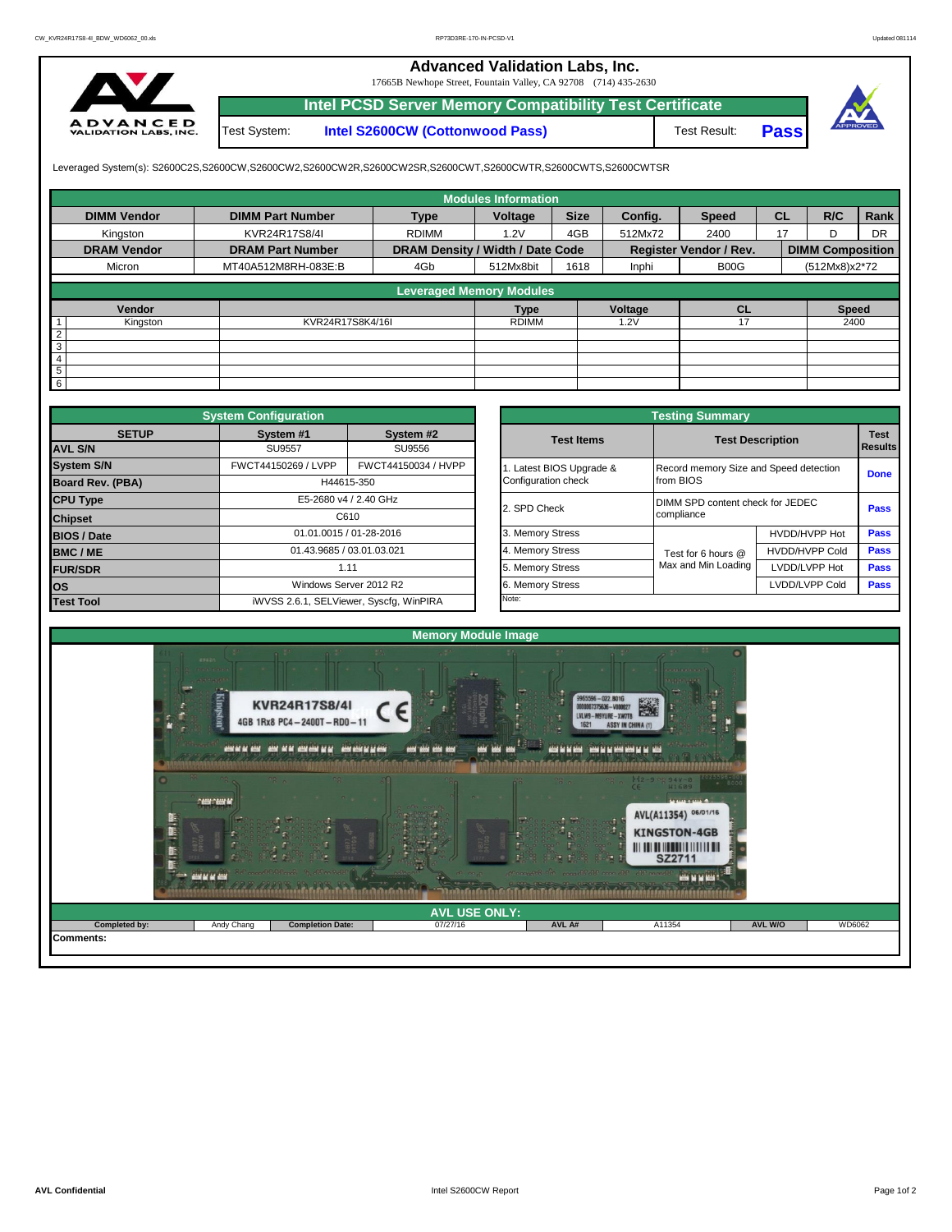## **Advanced Validation Labs, Inc.**

17665B Newhope Street, Fountain Valley, CA 92708 (714) 435-2630



Test System: **Intel S2600CW (Cottonwood Pass) Intel PCSD Server Memory Compatibility Test Certificate**

Test Result: **Pass**



Leveraged System(s): S2600C2S,S2600CW,S2600CW2,S2600CW2R,S2600CW2SR,S2600CWT,S2600CWTR,S2600CWTS,S2600CWTSR

|                    |                         |                                  | <b>Modules Information</b> |             |         |                               |           |                         |           |
|--------------------|-------------------------|----------------------------------|----------------------------|-------------|---------|-------------------------------|-----------|-------------------------|-----------|
| <b>DIMM Vendor</b> | <b>DIMM Part Number</b> | <b>Type</b>                      | Voltage                    | <b>Size</b> | Config. | <b>Speed</b>                  | <b>CL</b> | R/C                     | Rank      |
| Kingston           | KVR24R17S8/4I           | <b>RDIMM</b>                     | 1.2V                       | 4GB         | 512Mx72 | 2400                          | 17        |                         | <b>DR</b> |
| <b>DRAM Vendor</b> | <b>DRAM Part Number</b> | DRAM Density / Width / Date Code |                            |             |         | <b>Register Vendor / Rev.</b> |           | <b>DIMM Composition</b> |           |
| Micron             | MT40A512M8RH-083E:B     | 4Gb                              | 512Mx8bit                  | 1618        | Inphi   | B00G                          |           | (512Mx8)x2*72           |           |
|                    |                         | <b>Leveraged Memory Modules</b>  |                            |             |         |                               |           |                         |           |
|                    |                         |                                  |                            |             |         |                               |           |                         |           |
| Vendor             |                         |                                  | <b>Type</b>                |             | Voltage | <b>CL</b>                     |           | <b>Speed</b>            |           |
| Kingston           | KVR24R17S8K4/16I        |                                  | <b>RDIMM</b>               |             | .2V     |                               |           | 2400                    |           |
| $\mathcal{L}$      |                         |                                  |                            |             |         |                               |           |                         |           |
| 3                  |                         |                                  |                            |             |         |                               |           |                         |           |
|                    |                         |                                  |                            |             |         |                               |           |                         |           |
| 5                  |                         |                                  |                            |             |         |                               |           |                         |           |
| 6                  |                         |                                  |                            |             |         |                               |           |                         |           |

|                         | <b>System Configuration</b>             |                           |  |                       | <b>Testing Summary</b>                 |                         |             |  |  |
|-------------------------|-----------------------------------------|---------------------------|--|-----------------------|----------------------------------------|-------------------------|-------------|--|--|
| <b>SETUP</b>            | System #1                               | System #2                 |  | <b>Test Items</b>     |                                        | <b>Test Description</b> |             |  |  |
| <b>AVL S/N</b>          | <b>SU9557</b>                           | SU9556                    |  |                       |                                        |                         | Results     |  |  |
| <b>System S/N</b>       | FWCT44150269 / LVPP                     | FWCT44150034 / HVPP       |  | Latest BIOS Upgrade & | Record memory Size and Speed detection | <b>Done</b>             |             |  |  |
| <b>Board Rev. (PBA)</b> | H44615-350                              |                           |  | Configuration check   | from BIOS                              |                         |             |  |  |
| <b>CPU Type</b>         |                                         | E5-2680 v4 / 2.40 GHz     |  | 2. SPD Check          | DIMM SPD content check for JEDEC       | <b>Pass</b>             |             |  |  |
| <b>Chipset</b>          |                                         | C610                      |  |                       | compliance                             |                         |             |  |  |
| <b>BIOS / Date</b>      |                                         | 01.01.0015 / 01-28-2016   |  | 3. Memory Stress      |                                        | HVDD/HVPP Hot           | <b>Pass</b> |  |  |
| <b>BMC/ME</b>           |                                         | 01.43.9685 / 03.01.03.021 |  | 4. Memory Stress      | Test for 6 hours @                     | <b>HVDD/HVPP Cold</b>   | Pass        |  |  |
| <b>FUR/SDR</b>          | 1.11                                    |                           |  | 5. Memory Stress      | Max and Min Loading                    | LVDD/LVPP Hot           | Pass        |  |  |
| los                     |                                         | Windows Server 2012 R2    |  | 6. Memory Stress      |                                        | LVDD/LVPP Cold          | Pass        |  |  |
| <b>Test Tool</b>        | iWVSS 2.6.1, SELViewer, Syscfq, WinPIRA |                           |  | Note:                 |                                        |                         |             |  |  |

|              | <b>System Configuration</b> |                                         |                       | <b>Testing Summary</b>                 |                                  |                |  |
|--------------|-----------------------------|-----------------------------------------|-----------------------|----------------------------------------|----------------------------------|----------------|--|
| <b>SETUP</b> | System #1                   | System #2                               | <b>Test Items</b>     | <b>Test Description</b>                |                                  | <b>Results</b> |  |
|              | <b>SU9557</b>               | SU9556                                  |                       |                                        |                                  |                |  |
|              | FWCT44150269 / LVPP         | FWCT44150034 / HVPP                     | Latest BIOS Upgrade & | Record memory Size and Speed detection |                                  |                |  |
| PBA)         |                             | H44615-350                              | Configuration check   | from BIOS                              |                                  | <b>Done</b>    |  |
|              |                             | E5-2680 v4 / 2.40 GHz                   | 2. SPD Check          |                                        | DIMM SPD content check for JEDEC |                |  |
|              |                             | C610                                    |                       | compliance                             |                                  |                |  |
|              |                             | 01.01.0015 / 01-28-2016                 | 3. Memory Stress      |                                        | HVDD/HVPP Hot                    | Pass           |  |
|              | 01.43.9685 / 03.01.03.021   |                                         | 4. Memory Stress      | Test for 6 hours @                     | <b>HVDD/HVPP Cold</b>            | Pass           |  |
|              |                             | 1.11                                    | 5. Memory Stress      | Max and Min Loading                    | LVDD/LVPP Hot                    | Pass           |  |
|              |                             | Windows Server 2012 R2                  | 6. Memory Stress      |                                        | LVDD/LVPP Cold                   | Pass           |  |
|              |                             | iWVSS 2.6.1, SELViewer, Syscfq, WinPIRA | Note:                 |                                        |                                  |                |  |